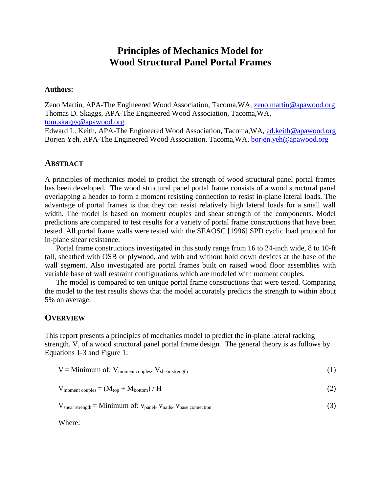# **Principles of Mechanics Model for Wood Structural Panel Portal Frames**

#### **Authors:**

Zeno Martin, APA-The Engineered Wood Association, Tacoma,WA, [zeno.martin@apawood.org](mailto:zeno.martin@apawood.org) Thomas D. Skaggs, APA-The Engineered Wood Association, Tacoma,WA, [tom.skaggs@apawood.org](mailto:tom.skaggs@apawood.org)

Edward L. Keith, APA-The Engineered Wood Association, Tacoma,WA, [ed.keith@apawood.org](mailto:ed.keith@apawood.org) Borjen Yeh, APA-The Engineered Wood Association, Tacoma,WA, borjen.yeh@apawood.org

#### **ABSTRACT**

A principles of mechanics model to predict the strength of wood structural panel portal frames has been developed. The wood structural panel portal frame consists of a wood structural panel overlapping a header to form a moment resisting connection to resist in-plane lateral loads. The advantage of portal frames is that they can resist relatively high lateral loads for a small wall width. The model is based on moment couples and shear strength of the components. Model predictions are compared to test results for a variety of portal frame constructions that have been tested. All portal frame walls were tested with the SEAOSC [1996] SPD cyclic load protocol for in-plane shear resistance.

Portal frame constructions investigated in this study range from 16 to 24-inch wide, 8 to 10-ft tall, sheathed with OSB or plywood, and with and without hold down devices at the base of the wall segment. Also investigated are portal frames built on raised wood floor assemblies with variable base of wall restraint configurations which are modeled with moment couples.

The model is compared to ten unique portal frame constructions that were tested. Comparing the model to the test results shows that the model accurately predicts the strength to within about 5% on average.

### **OVERVIEW**

This report presents a principles of mechanics model to predict the in-plane lateral racking strength, V, of a wood structural panel portal frame design. The general theory is as follows by Equations 1-3 and Figure 1:

| $V =$ Minimum of: $V_{\text{moment couples}}$ , $V_{\text{shear strength}}$ |  |
|-----------------------------------------------------------------------------|--|
| $V_{\text{moment couples}} = (M_{\text{top}} + M_{\text{bottom}})/H$        |  |

 $V_{shear strength} = Minimum of: v_{panel}, v_{nails}, v_{base connection}$  (3)

Where: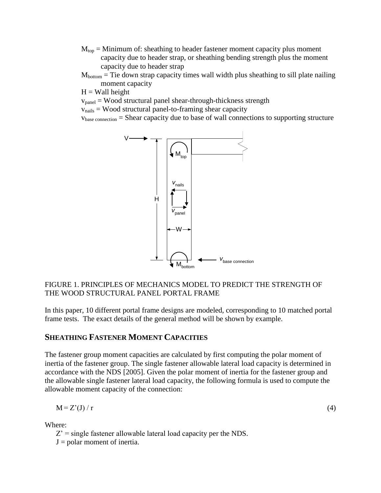- $M_{\text{top}}$  = Minimum of: sheathing to header fastener moment capacity plus moment capacity due to header strap, or sheathing bending strength plus the moment capacity due to header strap
- $M<sub>bottom</sub> =$  Tie down strap capacity times wall width plus sheathing to sill plate nailing moment capacity
- $H =$  Wall height

 $v<sub>panel</sub> = Wood structural panel shear-through-thickness strength$ 

 $v_{\text{nails}} =$  Wood structural panel-to-framing shear capacity

vbase connection = Shear capacity due to base of wall connections to supporting structure



### FIGURE 1. PRINCIPLES OF MECHANICS MODEL TO PREDICT THE STRENGTH OF THE WOOD STRUCTURAL PANEL PORTAL FRAME

In this paper, 10 different portal frame designs are modeled, corresponding to 10 matched portal frame tests. The exact details of the general method will be shown by example.

### **SHEATHING FASTENER MOMENT CAPACITIES**

The fastener group moment capacities are calculated by first computing the polar moment of inertia of the fastener group. The single fastener allowable lateral load capacity is determined in accordance with the NDS [2005]. Given the polar moment of inertia for the fastener group and the allowable single fastener lateral load capacity, the following formula is used to compute the allowable moment capacity of the connection:

$$
M = Z'(J) / r \tag{4}
$$

Where:

 $Z'$  = single fastener allowable lateral load capacity per the NDS.

 $J =$  polar moment of inertia.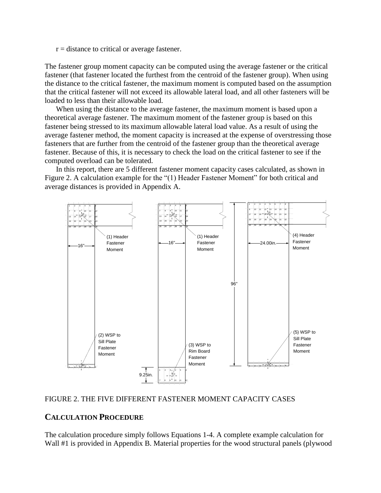$r =$  distance to critical or average fastener.

The fastener group moment capacity can be computed using the average fastener or the critical fastener (that fastener located the furthest from the centroid of the fastener group). When using the distance to the critical fastener, the maximum moment is computed based on the assumption that the critical fastener will not exceed its allowable lateral load, and all other fasteners will be loaded to less than their allowable load.

When using the distance to the average fastener, the maximum moment is based upon a theoretical average fastener. The maximum moment of the fastener group is based on this fastener being stressed to its maximum allowable lateral load value. As a result of using the average fastener method, the moment capacity is increased at the expense of overstressing those fasteners that are further from the centroid of the fastener group than the theoretical average fastener. Because of this, it is necessary to check the load on the critical fastener to see if the computed overload can be tolerated.

In this report, there are 5 different fastener moment capacity cases calculated, as shown in Figure 2. A calculation example for the "(1) Header Fastener Moment" for both critical and average distances is provided in Appendix A.



#### FIGURE 2. THE FIVE DIFFERENT FASTENER MOMENT CAPACITY CASES

### **CALCULATION PROCEDURE**

The calculation procedure simply follows Equations 1-4. A complete example calculation for Wall #1 is provided in Appendix B. Material properties for the wood structural panels (plywood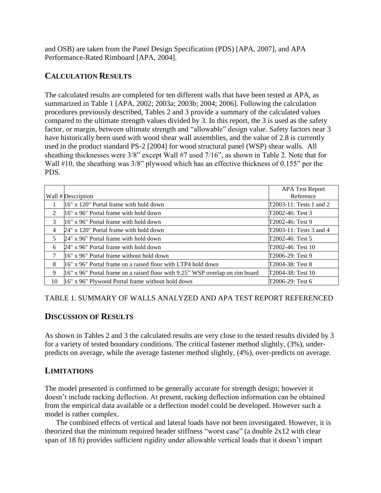and OSB) are taken from the Panel Design Specification (PDS) [APA, 2007], and APA Performance-Rated Rimboard [APA, 2004].

### **CALCULATION RESULTS**

The calculated results are completed for ten different walls that have been tested at APA, as summarized in Table 1 [APA, 2002; 2003a; 2003b; 2004; 2006]. Following the calculation procedures previously described, Tables 2 and 3 provide a summary of the calculated values compared to the ultimate strength values divided by 3. In this report, the 3 is used as the safety factor, or margin, between ultimate strength and "allowable" design value. Safety factors near 3 have historically been used with wood shear wall assemblies, and the value of 2.8 is currently used in the product standard PS-2 [2004] for wood structural panel (WSP) shear walls. All sheathing thicknesses were 3/8" except Wall #7 used 7/16", as shown in Table 2. Note that for Wall #10, the sheathing was 3/8" plywood which has an effective thickness of 0.155" per the PDS.

|    |                                                                              | <b>APA Test Report</b>  |
|----|------------------------------------------------------------------------------|-------------------------|
|    | Wall # Description                                                           | Reference               |
|    | 16" x 120" Portal frame with hold down                                       | T2003-11: Tests 1 and 2 |
| 2  | 116" x 96" Portal frame with hold down                                       | T2002-46: Test 3        |
| 3  | 16" x 96" Portal frame with hold down                                        | T2002-46: Test 9        |
| 4  | 24" x 120" Portal frame with hold down                                       | T2003-11: Tests 3 and 4 |
| 5  | 24" x 96" Portal frame with hold down                                        | T2002-46: Test 5        |
| 6  | 24" x 96" Portal frame with hold down                                        | T2002-46: Test 10       |
| 7  | 16" x 96" Portal frame without hold down                                     | T2006-29: Test 9        |
| 8  | 16" x 96" Portal frame on a raised floor with LTP4 hold down                 | T2004-38: Test 8        |
| 9  | 16" x 96" Portal frame on a raised floor with 9.25" WSP overlap on rim board | T2004-38: Test 10       |
| 10 | 16" x 96" Plywood Portal frame without hold down                             | T2006-29: Test 6        |

### TABLE 1. SUMMARY OF WALLS ANALYZED AND APA TEST REPORT REFERENCED

### **DISCUSSION OF RESULTS**

As shown in Tables 2 and 3 the calculated results are very close to the tested results divided by 3 for a variety of tested boundary conditions. The critical fastener method slightly, (3%), underpredicts on average, while the average fastener method slightly, (4%), over-predicts on average.

### **LIMITATIONS**

The model presented is confirmed to be generally accurate for strength design; however it doesn't include racking deflection. At present, racking deflection information can be obtained from the empirical data available or a deflection model could be developed. However such a model is rather complex.

The combined effects of vertical and lateral loads have not been investigated. However, it is theorized that the minimum required header stiffness "worst case" (a double 2x12 with clear span of 18 ft) provides sufficient rigidity under allowable vertical loads that it doesn't impart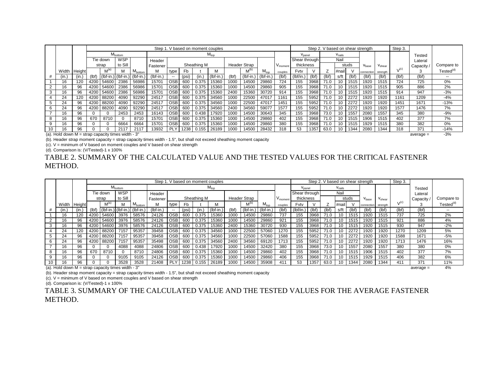|    |                                                      |                |       |            |                                                       |                     |             |                  |                 |             | Step 1. V based on moment couples |       |                     |                  |                     |                    |       |       |          |       | Step 2. V based on shear strength |             | Step 3.   |             |                       |
|----|------------------------------------------------------|----------------|-------|------------|-------------------------------------------------------|---------------------|-------------|------------------|-----------------|-------------|-----------------------------------|-------|---------------------|------------------|---------------------|--------------------|-------|-------|----------|-------|-----------------------------------|-------------|-----------|-------------|-----------------------|
|    |                                                      |                |       |            | M <sub>bottom</sub>                                   |                     |             |                  |                 |             | $M_{\rm too}$                     |       | $V_{\text{panel}}$  |                  |                     | $V_{\text{nails}}$ |       |       |          |       | Tested                            |             |           |             |                       |
|    |                                                      |                |       | Tie down   | WSP                                                   |                     | Header      |                  |                 |             |                                   |       |                     |                  |                     | Shear through      |       |       | Nail     |       |                                   |             |           | Lateral     |                       |
|    |                                                      |                |       | strap      | to Sill                                               |                     | Fastener    |                  |                 | Sheathing M |                                   |       | <b>Header Strap</b> |                  | V <sub>moment</sub> | thickness          |       |       |          | studs | V <sub>base</sub>                 | $V_{shear}$ |           | Capacity    | Compare to            |
|    |                                                      | Width   Height |       | $M^{(a)}$  | M                                                     | M <sub>bottom</sub> | М           | type             | <b>Fb</b>       |             |                                   |       | $M^{(b)}$           | $M_{\text{top}}$ | couples             | Fvtv               |       |       | l #naill |       | connection                        | strength    | $V^{(c)}$ |             | Tested <sup>(d)</sup> |
|    | (in.                                                 | (in.)          | (lbf) |            | $\vert$ (Ibf-in.) $\vert$ (Ibf-in.) $\vert$ (Ibf-in.) |                     | $(lbf-in.)$ | $- -$            | (psi)           | (in.)       | 'Ibf-in.                          | (lbf) | (Ibf-in.            | $(lbf-in.)$      | (lbf)               | (lbf/in.           | (lbf) | (lbf) | s/ft     | (lbf) | (lbf)                             | (lbf)       | (lbf)     | (lbf)       | $- -$                 |
|    | 16                                                   | 120            | 4200  | 54600      | 2386                                                  | 56986               | 15701       | <b>OSB</b>       | 60 <sub>C</sub> | 0.375       | 15360                             | 1000  | 14500               | 29860            | 724                 | 155                | 3968  | 71.0  | 10       | 1515  | 1920                              | 1515        | 724       | 725         | $0\%$                 |
|    | 16                                                   | 96             | 4200  | 54600      | 2386                                                  | 56986               | 15701       | <b>OSB</b>       | 60 <sub>C</sub> | 0.375       | 15360                             | 1000  | 14500               | 29860            | 905                 | 155                | 3968  |       |          | 1515  | 1920                              | 1515        | 905       | 886         | 2%                    |
|    | 16                                                   | 96             | 4200  | 54600      | 2386                                                  | 56986               | 15701       | <b>OSB</b>       | 60 <sub>C</sub> | 0.375       | 15360                             | 2400  | 15360               | 30720            | 914                 | 155                | 3968  | 71.0  |          | 1515  | 1920                              | 1515        | 914       | 947         | $-3%$                 |
|    | 24                                                   | 120            | 4200  | 88200      | 4090                                                  | 92290               | 2451        | <b>OSB</b>       | 600             | 0.375       | 34560                             | 1000  | 22500               | 47017            | 1161                | 155                | 5952  | 71.0  |          | 2272  | 1920                              | 1920        | 1161      | 1209        | $-4%$                 |
| 5  | 24                                                   | 96             | 4200  | 88200      | 4090                                                  | 92290               | 24517       | <b>OSB</b>       | 600             | 0.375       | 34560                             | 1000  | 22500               | 47017            | 1451                | 155                | 5952  | 71.0  | 10       | 2272  | 1920                              | 1920        | 1451      | 1671        | $-13%$                |
| 6  | 24                                                   | 96             |       | 4200 88200 | 4090                                                  | 92290               | 24517       | <b>OSB</b>       | 600             | 0.375       | 34560                             | 2400  | 34560               | 59077            | 1577                | 155                | 5952  | 71.0  |          | 2272  | 1920                              | 1920        | 1577      | 1476        | 7%                    |
|    | 16                                                   | 96             |       | $\Omega$   | 2453                                                  | 2453                | 16143       | OSBI             | 600             | 0.438       | 17920                             | 1000  | 14500               | 30643            | 345                 | 155                | 3968  | 73.0  |          | 1557  | 2080                              | 1557        | 345       | 380         | $-9%$                 |
| 8  | 16                                                   | 96             | 670   | 8710       |                                                       | 8710                | 15701       | <b>OSB</b>       | 600             | 0.375       | 15360                             | 1000  | 14500               | 29860            | 402                 | 155                | 3968  | 71.0  |          | 1515  | 1906                              | 1515        | 402       | 377         | 7%                    |
| 9  | 16                                                   | 96             |       | $\Omega$   | 6664                                                  | 6664                | 15701       | OSB <sup>I</sup> | 60C             | 0.375       | 15360                             | 1000  | 14500               | 29860            | 380                 | 155                | 3968  | 71.0  | 10       | 1515  | 1929                              | 1515        | 380       | 382         | $0\%$                 |
| 10 | 16                                                   | 96             |       | $\Omega$   | 2117                                                  | 2117                | 13932       | PLY              | 1238            | 0.155       | 26189                             | 1000  | 14500               | 28432            | 318                 | 53                 | 1357  | 63.0  |          | 1344  | 2080                              | 1344        | 318       | 371         | $-14%$                |
|    | (a). Hold down $M =$ strap capacity times width - 3" |                |       |            |                                                       |                     |             |                  |                 |             |                                   |       |                     |                  |                     |                    |       |       |          |       |                                   |             |           | $average =$ | $-3%$                 |

(b). Header strap moment capacity = strap capacity times width - 1.5", but shall not exceed sheathing moment capacity

(c). V = minimum of V based on moment couples and V based on shear strength

(d). Comparison is: (V/Tested)-1 x 100%

TABLE 2. SUMMARY OF THE CALCULATED VALUE AND THE TESTED VALUES FOR THE CRITICAL FASTENER METHOD.

|    |                                                       |              |       |                      |                     |                     |                       |               |       |             | Step 1. V based on moment couples |       |                     |                                          |                     |               |               |       |                 |       | Step 2. V based on shear strength |                    | Step 3.             |             |                       |
|----|-------------------------------------------------------|--------------|-------|----------------------|---------------------|---------------------|-----------------------|---------------|-------|-------------|-----------------------------------|-------|---------------------|------------------------------------------|---------------------|---------------|---------------|-------|-----------------|-------|-----------------------------------|--------------------|---------------------|-------------|-----------------------|
|    |                                                       |              |       |                      | M <sub>bottom</sub> |                     |                       |               |       |             | $M_{\text{too}}$                  |       |                     | V <sub>panel</sub><br>V <sub>nails</sub> |                     |               |               |       |                 |       |                                   | Tested             |                     |             |                       |
|    |                                                       |              |       | Tie down.            | <b>WSP</b>          |                     | Header                |               |       |             |                                   |       |                     |                                          |                     | Shear through |               |       | Nail            |       |                                   |                    |                     | Lateral     |                       |
|    |                                                       |              |       | strap                | to Sill             |                     | Fastener <sup>1</sup> |               |       | Sheathing M |                                   |       | <b>Header Strap</b> |                                          | V <sub>moment</sub> | thickness     |               |       |                 | studs | V <sub>base</sub>                 | V <sub>shear</sub> |                     | Capacity    | Compare to            |
|    |                                                       | Width Height |       | M <sup>(a)</sup>     | M                   | M <sub>bottom</sub> | м                     | type          | Fb    |             |                                   |       | $M^{(b)}$           | $M_{\text{ton}}$                         | couples             | Fvtv          | $\mathcal{U}$ |       | #naill          |       | connection                        | strength           | $\mathcal{N}^{(c)}$ |             | Tested <sup>(d)</sup> |
|    | (in.                                                  | (in.)        | (lbf) | $(lbf-in.)$ (lbf-in. |                     | $(lbf-in.)$         | $(lbf-in.)$           | $\sim$ $\sim$ | (psi) | (in.)       | $(lbf-in.)$                       | (lbf) | $(lbf-in.)$         | $(lbf-in.)$                              | (lbf)               | (lbf/in.)     | (lbf)         | (lbf) | s/ft            | (Ibf) | 'Ibt                              | (lbf)              | (lbf)               | (lbf)       | $\sim$                |
|    | 16                                                    | 120          | 4200  | 54600                | 3976                | 58576               | 24126                 | <b>OSB</b>    | 600   | 0.375       | 15360                             | 1000  | 14500               | 29860                                    | 737                 | 155           | 3968          | 71.0  | 10 <sup>1</sup> | 1515  | 1920                              | 1515               | 737                 | 725         | 2%                    |
|    | 16                                                    | 96           | 4200  | 54600                | 3976                | 58576               | 24126                 | <b>OSB</b>    | 600   | 0.375       | 15360                             | 1000  | 14500               | 29860                                    | 921                 | 155           | 3968          | 71.0  | 10              | 1515  | 1920                              | 1515               | 921                 | 886         | 4%                    |
|    | 16                                                    | 96           | 4200  | 54600                | 3976                | 58576               | 24126                 | OSB           | 600   | 0.375       | 15360                             | 2400  | 15360               | 30720                                    | 930                 | 155           | 3968          | 71.0  | 10 <sup>1</sup> | 1515  | 1920                              | 1515               | 930                 | 947         | $-2%$                 |
|    | 24                                                    | 120          | 4200  | 88200                | 7157                | 95357               | 39458                 | <b>OSB</b>    | 600   | 0.375       | 34560                             | 1000  | 22500               | 57060                                    | 1270                | 155           | 5952          | 71.0  | 10 <sup>1</sup> | 2272  | 1920                              | 1920               | 1270                | 1209        | 5%                    |
| 5  | 24                                                    | 96           | 4200  | 88200                | 7157                | 95357               | 39458                 | <b>OSB</b>    | 600   | 0.375       | 34560                             | 1000  | 22500               | 57060                                    | 1588                | 155           | 5952          | 71.0  | 10 <sup>1</sup> | 2272  | 1920                              | 1920               | 1588                | 1671        | $-5%$                 |
| 6  | 24                                                    | 96           | 4200  | 88200                | 7157                | 95357               | 35498                 | <b>OSB</b>    | 600   | 0.375       | 34560                             | 2400  | 34560               | 69120                                    | 1713                | 155           | 5952          | 71.0  | 10 <sup>1</sup> | 2272  | 1920                              | 1920               | 1713                | 1476        | 16%                   |
|    | 16                                                    | 96           |       | $\Omega$             | 4088                | 4088                | 24806                 | <b>OSB</b>    | 600   | 0.438       | 17920                             | 1000  | 14500               | 32420                                    | 380                 | 155           | 3968          | 73.0  | 10 <sup>1</sup> | 1557  | 2080                              | 1557               | 380                 | 380         | 0%                    |
| 8  | 16                                                    | 96           | 670   | 8710                 |                     | 8710                | 24806                 | <b>OSB</b>    | 600   | 0.375       | 15360                             | 1000  | 14500               | 29860                                    | 402                 | 155           | 3968          | 71.0  | 10 $\vert$      | 1515  | 1906                              | 1515               | 402                 | 377         | 7%                    |
| 9  | 16                                                    | 96           |       | $\Omega$             | 9105                | 9105                | 24126                 | OSBI          | 600   | 0.375       | 15360                             | 1000  | 14500               | 29860                                    | 406                 | 155           | 3968          | 71.0  | 10              | 1515  | 1929                              | 1515               | 406                 | 382         | 6%                    |
| 10 | 16                                                    | 96           |       | $\Omega$             | 3528                | 3528                | 21408                 | <b>PLY</b>    |       | 1238 0.155  | 26189                             | 1000  | 14500               | 35908                                    | 41'                 | 53            | 357ء          | 63.0  | 10 <sup>1</sup> | 1344  | 2080                              | 1344               | 411                 | 371         | 11%                   |
|    | (a). Hold down $M =$ strap capacity times width $-3"$ |              |       |                      |                     |                     |                       |               |       |             |                                   |       |                     |                                          |                     |               |               |       |                 |       |                                   |                    |                     | $average =$ | 4%                    |

(b). Header strap moment capacity = strap capacity times width - 1.5", but shall not exceed sheathing moment capacity

(c). V = minimum of V based on moment couples and V based on shear strength

(d). Comparison is: (V/Tested)-1 x 100%

TABLE 3. SUMMARY OF THE CALCULATED VALUE AND THE TESTED VALUES FOR THE AVERAGE FASTENER METHOD.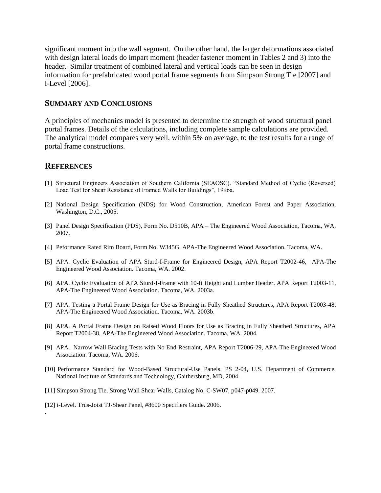significant moment into the wall segment. On the other hand, the larger deformations associated with design lateral loads do impart moment (header fastener moment in Tables 2 and 3) into the header. Similar treatment of combined lateral and vertical loads can be seen in design information for prefabricated wood portal frame segments from Simpson Strong Tie [2007] and i-Level [2006].

### **SUMMARY AND CONCLUSIONS**

A principles of mechanics model is presented to determine the strength of wood structural panel portal frames. Details of the calculations, including complete sample calculations are provided. The analytical model compares very well, within 5% on average, to the test results for a range of portal frame constructions.

### **REFERENCES**

.

- [1] Structural Engineers Association of Southern California (SEAOSC). "Standard Method of Cyclic (Reversed) Load Test for Shear Resistance of Framed Walls for Buildings", 1996a.
- [2] National Design Specification (NDS) for Wood Construction, American Forest and Paper Association, Washington, D.C., 2005.
- [3] Panel Design Specification (PDS), Form No. D510B, APA The Engineered Wood Association, Tacoma, WA, 2007.
- [4] Peformance Rated Rim Board, Form No. W345G. APA-The Engineered Wood Association. Tacoma, WA.
- [5] APA. Cyclic Evaluation of APA Sturd-I-Frame for Engineered Design, APA Report T2002-46, APA-The Engineered Wood Association. Tacoma, WA. 2002.
- [6] APA. Cyclic Evaluation of APA Sturd-I-Frame with 10-ft Height and Lumber Header. APA Report T2003-11, APA-The Engineered Wood Association. Tacoma, WA. 2003a.
- [7] APA. Testing a Portal Frame Design for Use as Bracing in Fully Sheathed Structures, APA Report T2003-48, APA-The Engineered Wood Association. Tacoma, WA. 2003b.
- [8] APA. A Portal Frame Design on Raised Wood Floors for Use as Bracing in Fully Sheathed Structures, APA Report T2004-38, APA-The Engineered Wood Association. Tacoma, WA. 2004.
- [9] APA. Narrow Wall Bracing Tests with No End Restraint, APA Report T2006-29, APA-The Engineered Wood Association. Tacoma, WA. 2006.
- [10] Performance Standard for Wood-Based Structural-Use Panels, PS 2-04, U.S. Department of Commerce, National Institute of Standards and Technology, Gaithersburg, MD, 2004.
- [11] Simpson Strong Tie. Strong Wall Shear Walls, Catalog No. C-SW07, p047-p049. 2007.
- [12] i-Level. Trus-Joist TJ-Shear Panel, #8600 Specifiers Guide. 2006.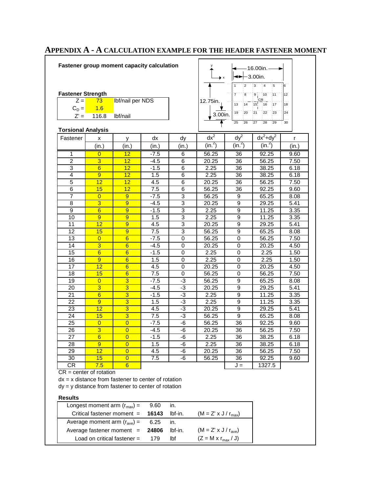| 15<br>14<br>16<br>18<br>13<br>17<br>$C_D =$<br>1.6<br>20<br>23<br>24<br>19<br>21<br>22<br>3.00in.<br>$Z' =$<br>116.8<br>lbf/nail<br>25<br>26<br>27<br>28<br>29<br>30<br>$dx^2$<br>$dy^2$<br>$dx^2 + dy^2$<br>dx<br>dy<br>x<br>r<br>У<br>(in. <sup>2</sup> )<br>(in. <sup>2</sup> )<br>(in. <sup>2</sup> )<br>(in.)<br>(in.)<br>(in.)<br>(in.)<br>(in.)<br>12<br>$-7.5$<br>56.25<br>92.25<br>1<br>$\overline{0}$<br>6<br>36<br>$\overline{3}$<br>$\overline{2}$<br>12<br>6<br>$-4.5$<br>20.25<br>36<br>56.25<br>3<br>6<br>$6\overline{6}$<br>12<br>$-1.5$<br>2.25<br>36<br>38.25<br>4<br>9<br>12<br>6<br>36<br>1.5<br>2.25<br>38.25<br>5<br>12<br>12<br>4.5<br>6<br>20.25<br>36<br>56.25<br>$\overline{6}$<br>15<br>12<br>7.5<br>6<br>56.25<br>36<br>92.25<br>$\overline{7}$<br>3<br>$\overline{0}$<br>9<br>$-7.5$<br>56.25<br>65.25<br>9<br>$\overline{3}$<br>$\overline{8}$<br>9<br>3<br>9<br>5.41<br>$-4.5$<br>20.25<br>29.25<br>$\boldsymbol{9}$<br>$6\overline{6}$<br>3<br>9<br>2.25<br>9<br>11.25<br>3.35<br>$-1.5$<br>3<br>10<br>9<br>9<br>1.5<br>9<br>11.25<br>3.35<br>2.25<br>12<br>9<br>11<br>4.5<br>3<br>20.25<br>9<br>29.25<br>5.41<br>$\overline{3}$<br>12<br>9<br>7.5<br>9<br>15<br>56.25<br>65.25<br>8.08<br>6<br>$\overline{0}$<br>13<br>$\overline{0}$<br>$-7.5$<br>56.25<br>$\mathbf 0$<br>56.25<br>7.50<br>$\overline{3}$<br>4.50<br>14<br>$6\overline{6}$<br>$-4.5$<br>$\mathbf 0$<br>20.25<br>$\mathbf 0$<br>20.25<br>$6\overline{6}$<br>$6\phantom{1}6$<br>15<br>2.25<br>2.25<br>1.50<br>$-1.5$<br>0<br>0<br>16<br>9<br>$6\phantom{1}6$<br>1.5<br>$\mathbf 0$<br>2.25<br>1.50<br>2.25<br>0<br>$\overline{12}$<br>$\overline{6}$<br>17<br>4.5<br>0<br>0<br>4.50<br>20.25<br>20.25<br>18<br>15<br>$6\phantom{1}6$<br>7.5<br>$\mathbf 0$<br>56.25<br>$\mathbf 0$<br>56.25<br>7.50<br>$\overline{3}$<br>-3<br>$\overline{9}$<br>19<br>$\overline{0}$<br>$-7.5$<br>56.25<br>65.25<br>8.08<br>$\overline{3}$<br>$\overline{3}$<br>٠3<br>20<br>$-4.5$<br>9<br>5.41<br>20.25<br>29.25<br>21<br>$6\overline{6}$<br>$\overline{3}$<br>$-3$<br>2.25<br>9<br>3.35<br>$-1.5$<br>11.25<br>22<br>3<br>$-3$<br>9<br>1.5<br>2.25<br>9<br>11.25<br>3.35<br>٠3<br>23<br>12<br>3<br>4.5<br>20.25<br>9<br>29.25<br>$\overline{3}$<br>15<br>7.5<br>$-3$<br>24<br>56.25<br>9<br>65.25<br>$\overline{36}$<br>25<br>$\overline{0}$<br>$-7.5$<br>-6<br>$\overline{0}$<br>56.25<br>92.25<br>$\overline{3}$<br>$\overline{26}$<br>$\overline{0}$<br>$-6$<br>$\overline{36}$<br>$-4.5$<br>20.25<br>56.25<br>$-6$<br>36<br>$\overline{27}$<br>$-1.5$<br>2.25<br>38.25<br>$\overline{6}$<br>6.18<br>$\overline{0}$<br>9<br>$\overline{0}$<br>28<br>1.5<br>-6<br>36<br>2.25<br>38.25 | <b>Torsional Analysis</b><br>Fastener<br>$12 \$<br>$\overline{0}$<br>-6<br>29<br>4.5<br>36<br>56.25<br>20.25<br>30<br>15<br>$\overline{0}$<br>7.5<br>-6<br>36<br>56.25<br>92.25 |     |   |                                                          |              |                |     |                                                               | 9.60<br>7.50<br>6.18<br>6.18<br>7.50<br>9.60<br>8.08 |
|---------------------------------------------------------------------------------------------------------------------------------------------------------------------------------------------------------------------------------------------------------------------------------------------------------------------------------------------------------------------------------------------------------------------------------------------------------------------------------------------------------------------------------------------------------------------------------------------------------------------------------------------------------------------------------------------------------------------------------------------------------------------------------------------------------------------------------------------------------------------------------------------------------------------------------------------------------------------------------------------------------------------------------------------------------------------------------------------------------------------------------------------------------------------------------------------------------------------------------------------------------------------------------------------------------------------------------------------------------------------------------------------------------------------------------------------------------------------------------------------------------------------------------------------------------------------------------------------------------------------------------------------------------------------------------------------------------------------------------------------------------------------------------------------------------------------------------------------------------------------------------------------------------------------------------------------------------------------------------------------------------------------------------------------------------------------------------------------------------------------------------------------------------------------------------------------------------------------------------------------------------------------------------------------------------------------------------------------------------------------------------------------------------------------------------------------------------------------------------------------------------------------------------------------------------------------------------------------------------------------------------------------------------------------------|---------------------------------------------------------------------------------------------------------------------------------------------------------------------------------|-----|---|----------------------------------------------------------|--------------|----------------|-----|---------------------------------------------------------------|------------------------------------------------------|
|                                                                                                                                                                                                                                                                                                                                                                                                                                                                                                                                                                                                                                                                                                                                                                                                                                                                                                                                                                                                                                                                                                                                                                                                                                                                                                                                                                                                                                                                                                                                                                                                                                                                                                                                                                                                                                                                                                                                                                                                                                                                                                                                                                                                                                                                                                                                                                                                                                                                                                                                                                                                                                                                           |                                                                                                                                                                                 |     |   |                                                          |              |                |     |                                                               |                                                      |
|                                                                                                                                                                                                                                                                                                                                                                                                                                                                                                                                                                                                                                                                                                                                                                                                                                                                                                                                                                                                                                                                                                                                                                                                                                                                                                                                                                                                                                                                                                                                                                                                                                                                                                                                                                                                                                                                                                                                                                                                                                                                                                                                                                                                                                                                                                                                                                                                                                                                                                                                                                                                                                                                           |                                                                                                                                                                                 |     |   |                                                          |              |                |     |                                                               |                                                      |
|                                                                                                                                                                                                                                                                                                                                                                                                                                                                                                                                                                                                                                                                                                                                                                                                                                                                                                                                                                                                                                                                                                                                                                                                                                                                                                                                                                                                                                                                                                                                                                                                                                                                                                                                                                                                                                                                                                                                                                                                                                                                                                                                                                                                                                                                                                                                                                                                                                                                                                                                                                                                                                                                           |                                                                                                                                                                                 |     |   |                                                          |              |                |     |                                                               |                                                      |
|                                                                                                                                                                                                                                                                                                                                                                                                                                                                                                                                                                                                                                                                                                                                                                                                                                                                                                                                                                                                                                                                                                                                                                                                                                                                                                                                                                                                                                                                                                                                                                                                                                                                                                                                                                                                                                                                                                                                                                                                                                                                                                                                                                                                                                                                                                                                                                                                                                                                                                                                                                                                                                                                           |                                                                                                                                                                                 |     |   |                                                          |              |                |     |                                                               |                                                      |
|                                                                                                                                                                                                                                                                                                                                                                                                                                                                                                                                                                                                                                                                                                                                                                                                                                                                                                                                                                                                                                                                                                                                                                                                                                                                                                                                                                                                                                                                                                                                                                                                                                                                                                                                                                                                                                                                                                                                                                                                                                                                                                                                                                                                                                                                                                                                                                                                                                                                                                                                                                                                                                                                           |                                                                                                                                                                                 |     |   |                                                          |              |                |     |                                                               |                                                      |
|                                                                                                                                                                                                                                                                                                                                                                                                                                                                                                                                                                                                                                                                                                                                                                                                                                                                                                                                                                                                                                                                                                                                                                                                                                                                                                                                                                                                                                                                                                                                                                                                                                                                                                                                                                                                                                                                                                                                                                                                                                                                                                                                                                                                                                                                                                                                                                                                                                                                                                                                                                                                                                                                           |                                                                                                                                                                                 |     |   |                                                          |              |                |     |                                                               |                                                      |
|                                                                                                                                                                                                                                                                                                                                                                                                                                                                                                                                                                                                                                                                                                                                                                                                                                                                                                                                                                                                                                                                                                                                                                                                                                                                                                                                                                                                                                                                                                                                                                                                                                                                                                                                                                                                                                                                                                                                                                                                                                                                                                                                                                                                                                                                                                                                                                                                                                                                                                                                                                                                                                                                           |                                                                                                                                                                                 |     |   |                                                          |              |                |     |                                                               |                                                      |
|                                                                                                                                                                                                                                                                                                                                                                                                                                                                                                                                                                                                                                                                                                                                                                                                                                                                                                                                                                                                                                                                                                                                                                                                                                                                                                                                                                                                                                                                                                                                                                                                                                                                                                                                                                                                                                                                                                                                                                                                                                                                                                                                                                                                                                                                                                                                                                                                                                                                                                                                                                                                                                                                           |                                                                                                                                                                                 |     |   |                                                          |              |                |     |                                                               |                                                      |
|                                                                                                                                                                                                                                                                                                                                                                                                                                                                                                                                                                                                                                                                                                                                                                                                                                                                                                                                                                                                                                                                                                                                                                                                                                                                                                                                                                                                                                                                                                                                                                                                                                                                                                                                                                                                                                                                                                                                                                                                                                                                                                                                                                                                                                                                                                                                                                                                                                                                                                                                                                                                                                                                           |                                                                                                                                                                                 |     |   |                                                          |              |                |     |                                                               |                                                      |
|                                                                                                                                                                                                                                                                                                                                                                                                                                                                                                                                                                                                                                                                                                                                                                                                                                                                                                                                                                                                                                                                                                                                                                                                                                                                                                                                                                                                                                                                                                                                                                                                                                                                                                                                                                                                                                                                                                                                                                                                                                                                                                                                                                                                                                                                                                                                                                                                                                                                                                                                                                                                                                                                           |                                                                                                                                                                                 |     |   |                                                          |              |                |     |                                                               |                                                      |
|                                                                                                                                                                                                                                                                                                                                                                                                                                                                                                                                                                                                                                                                                                                                                                                                                                                                                                                                                                                                                                                                                                                                                                                                                                                                                                                                                                                                                                                                                                                                                                                                                                                                                                                                                                                                                                                                                                                                                                                                                                                                                                                                                                                                                                                                                                                                                                                                                                                                                                                                                                                                                                                                           |                                                                                                                                                                                 |     |   |                                                          |              |                |     |                                                               |                                                      |
|                                                                                                                                                                                                                                                                                                                                                                                                                                                                                                                                                                                                                                                                                                                                                                                                                                                                                                                                                                                                                                                                                                                                                                                                                                                                                                                                                                                                                                                                                                                                                                                                                                                                                                                                                                                                                                                                                                                                                                                                                                                                                                                                                                                                                                                                                                                                                                                                                                                                                                                                                                                                                                                                           |                                                                                                                                                                                 |     |   |                                                          |              |                |     |                                                               |                                                      |
|                                                                                                                                                                                                                                                                                                                                                                                                                                                                                                                                                                                                                                                                                                                                                                                                                                                                                                                                                                                                                                                                                                                                                                                                                                                                                                                                                                                                                                                                                                                                                                                                                                                                                                                                                                                                                                                                                                                                                                                                                                                                                                                                                                                                                                                                                                                                                                                                                                                                                                                                                                                                                                                                           |                                                                                                                                                                                 |     |   |                                                          |              |                |     |                                                               |                                                      |
|                                                                                                                                                                                                                                                                                                                                                                                                                                                                                                                                                                                                                                                                                                                                                                                                                                                                                                                                                                                                                                                                                                                                                                                                                                                                                                                                                                                                                                                                                                                                                                                                                                                                                                                                                                                                                                                                                                                                                                                                                                                                                                                                                                                                                                                                                                                                                                                                                                                                                                                                                                                                                                                                           |                                                                                                                                                                                 |     |   |                                                          |              |                |     |                                                               |                                                      |
|                                                                                                                                                                                                                                                                                                                                                                                                                                                                                                                                                                                                                                                                                                                                                                                                                                                                                                                                                                                                                                                                                                                                                                                                                                                                                                                                                                                                                                                                                                                                                                                                                                                                                                                                                                                                                                                                                                                                                                                                                                                                                                                                                                                                                                                                                                                                                                                                                                                                                                                                                                                                                                                                           |                                                                                                                                                                                 |     |   |                                                          |              |                |     |                                                               |                                                      |
|                                                                                                                                                                                                                                                                                                                                                                                                                                                                                                                                                                                                                                                                                                                                                                                                                                                                                                                                                                                                                                                                                                                                                                                                                                                                                                                                                                                                                                                                                                                                                                                                                                                                                                                                                                                                                                                                                                                                                                                                                                                                                                                                                                                                                                                                                                                                                                                                                                                                                                                                                                                                                                                                           |                                                                                                                                                                                 |     |   |                                                          |              |                |     |                                                               |                                                      |
|                                                                                                                                                                                                                                                                                                                                                                                                                                                                                                                                                                                                                                                                                                                                                                                                                                                                                                                                                                                                                                                                                                                                                                                                                                                                                                                                                                                                                                                                                                                                                                                                                                                                                                                                                                                                                                                                                                                                                                                                                                                                                                                                                                                                                                                                                                                                                                                                                                                                                                                                                                                                                                                                           |                                                                                                                                                                                 |     |   |                                                          |              |                |     |                                                               |                                                      |
|                                                                                                                                                                                                                                                                                                                                                                                                                                                                                                                                                                                                                                                                                                                                                                                                                                                                                                                                                                                                                                                                                                                                                                                                                                                                                                                                                                                                                                                                                                                                                                                                                                                                                                                                                                                                                                                                                                                                                                                                                                                                                                                                                                                                                                                                                                                                                                                                                                                                                                                                                                                                                                                                           |                                                                                                                                                                                 |     |   |                                                          |              |                |     |                                                               |                                                      |
|                                                                                                                                                                                                                                                                                                                                                                                                                                                                                                                                                                                                                                                                                                                                                                                                                                                                                                                                                                                                                                                                                                                                                                                                                                                                                                                                                                                                                                                                                                                                                                                                                                                                                                                                                                                                                                                                                                                                                                                                                                                                                                                                                                                                                                                                                                                                                                                                                                                                                                                                                                                                                                                                           |                                                                                                                                                                                 |     |   |                                                          |              |                |     |                                                               |                                                      |
|                                                                                                                                                                                                                                                                                                                                                                                                                                                                                                                                                                                                                                                                                                                                                                                                                                                                                                                                                                                                                                                                                                                                                                                                                                                                                                                                                                                                                                                                                                                                                                                                                                                                                                                                                                                                                                                                                                                                                                                                                                                                                                                                                                                                                                                                                                                                                                                                                                                                                                                                                                                                                                                                           |                                                                                                                                                                                 |     |   |                                                          |              |                |     |                                                               |                                                      |
|                                                                                                                                                                                                                                                                                                                                                                                                                                                                                                                                                                                                                                                                                                                                                                                                                                                                                                                                                                                                                                                                                                                                                                                                                                                                                                                                                                                                                                                                                                                                                                                                                                                                                                                                                                                                                                                                                                                                                                                                                                                                                                                                                                                                                                                                                                                                                                                                                                                                                                                                                                                                                                                                           |                                                                                                                                                                                 |     |   |                                                          |              |                |     |                                                               |                                                      |
|                                                                                                                                                                                                                                                                                                                                                                                                                                                                                                                                                                                                                                                                                                                                                                                                                                                                                                                                                                                                                                                                                                                                                                                                                                                                                                                                                                                                                                                                                                                                                                                                                                                                                                                                                                                                                                                                                                                                                                                                                                                                                                                                                                                                                                                                                                                                                                                                                                                                                                                                                                                                                                                                           |                                                                                                                                                                                 |     |   |                                                          |              |                |     |                                                               |                                                      |
|                                                                                                                                                                                                                                                                                                                                                                                                                                                                                                                                                                                                                                                                                                                                                                                                                                                                                                                                                                                                                                                                                                                                                                                                                                                                                                                                                                                                                                                                                                                                                                                                                                                                                                                                                                                                                                                                                                                                                                                                                                                                                                                                                                                                                                                                                                                                                                                                                                                                                                                                                                                                                                                                           |                                                                                                                                                                                 |     |   |                                                          |              |                |     |                                                               |                                                      |
|                                                                                                                                                                                                                                                                                                                                                                                                                                                                                                                                                                                                                                                                                                                                                                                                                                                                                                                                                                                                                                                                                                                                                                                                                                                                                                                                                                                                                                                                                                                                                                                                                                                                                                                                                                                                                                                                                                                                                                                                                                                                                                                                                                                                                                                                                                                                                                                                                                                                                                                                                                                                                                                                           |                                                                                                                                                                                 |     |   |                                                          |              |                |     |                                                               |                                                      |
|                                                                                                                                                                                                                                                                                                                                                                                                                                                                                                                                                                                                                                                                                                                                                                                                                                                                                                                                                                                                                                                                                                                                                                                                                                                                                                                                                                                                                                                                                                                                                                                                                                                                                                                                                                                                                                                                                                                                                                                                                                                                                                                                                                                                                                                                                                                                                                                                                                                                                                                                                                                                                                                                           |                                                                                                                                                                                 |     |   |                                                          |              |                |     |                                                               |                                                      |
|                                                                                                                                                                                                                                                                                                                                                                                                                                                                                                                                                                                                                                                                                                                                                                                                                                                                                                                                                                                                                                                                                                                                                                                                                                                                                                                                                                                                                                                                                                                                                                                                                                                                                                                                                                                                                                                                                                                                                                                                                                                                                                                                                                                                                                                                                                                                                                                                                                                                                                                                                                                                                                                                           |                                                                                                                                                                                 |     |   |                                                          |              |                |     |                                                               |                                                      |
|                                                                                                                                                                                                                                                                                                                                                                                                                                                                                                                                                                                                                                                                                                                                                                                                                                                                                                                                                                                                                                                                                                                                                                                                                                                                                                                                                                                                                                                                                                                                                                                                                                                                                                                                                                                                                                                                                                                                                                                                                                                                                                                                                                                                                                                                                                                                                                                                                                                                                                                                                                                                                                                                           |                                                                                                                                                                                 |     |   |                                                          |              |                |     |                                                               | 5.41                                                 |
|                                                                                                                                                                                                                                                                                                                                                                                                                                                                                                                                                                                                                                                                                                                                                                                                                                                                                                                                                                                                                                                                                                                                                                                                                                                                                                                                                                                                                                                                                                                                                                                                                                                                                                                                                                                                                                                                                                                                                                                                                                                                                                                                                                                                                                                                                                                                                                                                                                                                                                                                                                                                                                                                           |                                                                                                                                                                                 |     |   |                                                          |              |                |     |                                                               | 8.08                                                 |
|                                                                                                                                                                                                                                                                                                                                                                                                                                                                                                                                                                                                                                                                                                                                                                                                                                                                                                                                                                                                                                                                                                                                                                                                                                                                                                                                                                                                                                                                                                                                                                                                                                                                                                                                                                                                                                                                                                                                                                                                                                                                                                                                                                                                                                                                                                                                                                                                                                                                                                                                                                                                                                                                           |                                                                                                                                                                                 |     |   |                                                          |              |                |     |                                                               | 9.60                                                 |
|                                                                                                                                                                                                                                                                                                                                                                                                                                                                                                                                                                                                                                                                                                                                                                                                                                                                                                                                                                                                                                                                                                                                                                                                                                                                                                                                                                                                                                                                                                                                                                                                                                                                                                                                                                                                                                                                                                                                                                                                                                                                                                                                                                                                                                                                                                                                                                                                                                                                                                                                                                                                                                                                           |                                                                                                                                                                                 |     |   |                                                          |              |                |     |                                                               | 7.50                                                 |
|                                                                                                                                                                                                                                                                                                                                                                                                                                                                                                                                                                                                                                                                                                                                                                                                                                                                                                                                                                                                                                                                                                                                                                                                                                                                                                                                                                                                                                                                                                                                                                                                                                                                                                                                                                                                                                                                                                                                                                                                                                                                                                                                                                                                                                                                                                                                                                                                                                                                                                                                                                                                                                                                           |                                                                                                                                                                                 |     |   |                                                          |              |                |     |                                                               |                                                      |
|                                                                                                                                                                                                                                                                                                                                                                                                                                                                                                                                                                                                                                                                                                                                                                                                                                                                                                                                                                                                                                                                                                                                                                                                                                                                                                                                                                                                                                                                                                                                                                                                                                                                                                                                                                                                                                                                                                                                                                                                                                                                                                                                                                                                                                                                                                                                                                                                                                                                                                                                                                                                                                                                           |                                                                                                                                                                                 |     |   |                                                          |              |                |     |                                                               | 6.18                                                 |
|                                                                                                                                                                                                                                                                                                                                                                                                                                                                                                                                                                                                                                                                                                                                                                                                                                                                                                                                                                                                                                                                                                                                                                                                                                                                                                                                                                                                                                                                                                                                                                                                                                                                                                                                                                                                                                                                                                                                                                                                                                                                                                                                                                                                                                                                                                                                                                                                                                                                                                                                                                                                                                                                           |                                                                                                                                                                                 |     |   |                                                          |              |                |     |                                                               | 7.50                                                 |
|                                                                                                                                                                                                                                                                                                                                                                                                                                                                                                                                                                                                                                                                                                                                                                                                                                                                                                                                                                                                                                                                                                                                                                                                                                                                                                                                                                                                                                                                                                                                                                                                                                                                                                                                                                                                                                                                                                                                                                                                                                                                                                                                                                                                                                                                                                                                                                                                                                                                                                                                                                                                                                                                           |                                                                                                                                                                                 |     |   |                                                          |              |                |     |                                                               |                                                      |
| 9.60                                                                                                                                                                                                                                                                                                                                                                                                                                                                                                                                                                                                                                                                                                                                                                                                                                                                                                                                                                                                                                                                                                                                                                                                                                                                                                                                                                                                                                                                                                                                                                                                                                                                                                                                                                                                                                                                                                                                                                                                                                                                                                                                                                                                                                                                                                                                                                                                                                                                                                                                                                                                                                                                      |                                                                                                                                                                                 |     |   |                                                          |              |                |     |                                                               |                                                      |
|                                                                                                                                                                                                                                                                                                                                                                                                                                                                                                                                                                                                                                                                                                                                                                                                                                                                                                                                                                                                                                                                                                                                                                                                                                                                                                                                                                                                                                                                                                                                                                                                                                                                                                                                                                                                                                                                                                                                                                                                                                                                                                                                                                                                                                                                                                                                                                                                                                                                                                                                                                                                                                                                           |                                                                                                                                                                                 | 7.5 | 6 |                                                          |              |                | J = | 1327.5                                                        |                                                      |
|                                                                                                                                                                                                                                                                                                                                                                                                                                                                                                                                                                                                                                                                                                                                                                                                                                                                                                                                                                                                                                                                                                                                                                                                                                                                                                                                                                                                                                                                                                                                                                                                                                                                                                                                                                                                                                                                                                                                                                                                                                                                                                                                                                                                                                                                                                                                                                                                                                                                                                                                                                                                                                                                           |                                                                                                                                                                                 |     |   |                                                          |              |                |     |                                                               |                                                      |
|                                                                                                                                                                                                                                                                                                                                                                                                                                                                                                                                                                                                                                                                                                                                                                                                                                                                                                                                                                                                                                                                                                                                                                                                                                                                                                                                                                                                                                                                                                                                                                                                                                                                                                                                                                                                                                                                                                                                                                                                                                                                                                                                                                                                                                                                                                                                                                                                                                                                                                                                                                                                                                                                           |                                                                                                                                                                                 |     |   |                                                          |              |                |     |                                                               |                                                      |
| CR<br>$CR = center of rotation$<br>$dx = x$ distance from fastener to center of rotation                                                                                                                                                                                                                                                                                                                                                                                                                                                                                                                                                                                                                                                                                                                                                                                                                                                                                                                                                                                                                                                                                                                                                                                                                                                                                                                                                                                                                                                                                                                                                                                                                                                                                                                                                                                                                                                                                                                                                                                                                                                                                                                                                                                                                                                                                                                                                                                                                                                                                                                                                                                  |                                                                                                                                                                                 |     |   |                                                          |              |                |     |                                                               |                                                      |
| $dy = y$ distance from fastener to center of rotation                                                                                                                                                                                                                                                                                                                                                                                                                                                                                                                                                                                                                                                                                                                                                                                                                                                                                                                                                                                                                                                                                                                                                                                                                                                                                                                                                                                                                                                                                                                                                                                                                                                                                                                                                                                                                                                                                                                                                                                                                                                                                                                                                                                                                                                                                                                                                                                                                                                                                                                                                                                                                     |                                                                                                                                                                                 |     |   |                                                          |              |                |     |                                                               |                                                      |
|                                                                                                                                                                                                                                                                                                                                                                                                                                                                                                                                                                                                                                                                                                                                                                                                                                                                                                                                                                                                                                                                                                                                                                                                                                                                                                                                                                                                                                                                                                                                                                                                                                                                                                                                                                                                                                                                                                                                                                                                                                                                                                                                                                                                                                                                                                                                                                                                                                                                                                                                                                                                                                                                           |                                                                                                                                                                                 |     |   | 9.60                                                     | in.          |                |     |                                                               |                                                      |
| Longest moment arm $(rmax)$ =                                                                                                                                                                                                                                                                                                                                                                                                                                                                                                                                                                                                                                                                                                                                                                                                                                                                                                                                                                                                                                                                                                                                                                                                                                                                                                                                                                                                                                                                                                                                                                                                                                                                                                                                                                                                                                                                                                                                                                                                                                                                                                                                                                                                                                                                                                                                                                                                                                                                                                                                                                                                                                             |                                                                                                                                                                                 |     |   | 16143                                                    | lbf-in.      |                |     |                                                               |                                                      |
| Critical fastener moment =                                                                                                                                                                                                                                                                                                                                                                                                                                                                                                                                                                                                                                                                                                                                                                                                                                                                                                                                                                                                                                                                                                                                                                                                                                                                                                                                                                                                                                                                                                                                                                                                                                                                                                                                                                                                                                                                                                                                                                                                                                                                                                                                                                                                                                                                                                                                                                                                                                                                                                                                                                                                                                                | <b>Results</b>                                                                                                                                                                  |     |   |                                                          |              |                |     |                                                               |                                                      |
| $(M = Z' \times J / r_{max})$                                                                                                                                                                                                                                                                                                                                                                                                                                                                                                                                                                                                                                                                                                                                                                                                                                                                                                                                                                                                                                                                                                                                                                                                                                                                                                                                                                                                                                                                                                                                                                                                                                                                                                                                                                                                                                                                                                                                                                                                                                                                                                                                                                                                                                                                                                                                                                                                                                                                                                                                                                                                                                             |                                                                                                                                                                                 |     |   |                                                          |              |                |     |                                                               |                                                      |
| Average moment arm $(r_{ave}) =$<br>6.25<br>in.                                                                                                                                                                                                                                                                                                                                                                                                                                                                                                                                                                                                                                                                                                                                                                                                                                                                                                                                                                                                                                                                                                                                                                                                                                                                                                                                                                                                                                                                                                                                                                                                                                                                                                                                                                                                                                                                                                                                                                                                                                                                                                                                                                                                                                                                                                                                                                                                                                                                                                                                                                                                                           |                                                                                                                                                                                 |     |   |                                                          |              |                |     |                                                               |                                                      |
|                                                                                                                                                                                                                                                                                                                                                                                                                                                                                                                                                                                                                                                                                                                                                                                                                                                                                                                                                                                                                                                                                                                                                                                                                                                                                                                                                                                                                                                                                                                                                                                                                                                                                                                                                                                                                                                                                                                                                                                                                                                                                                                                                                                                                                                                                                                                                                                                                                                                                                                                                                                                                                                                           |                                                                                                                                                                                 |     |   | Average fastener moment =<br>Load on critical fastener = | 24806<br>179 | lbf-in.<br>Ibf |     | $(M = Z' \times J / r_{ave})$<br>$(Z = M \times r_{max} / J)$ |                                                      |

# **APPENDIX A - A CALCULATION EXAMPLE FOR THE HEADER FASTENER MOMENT**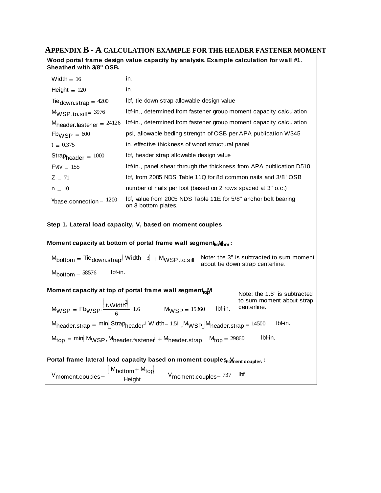## **APPENDIX B - A CALCULATION EXAMPLE FOR THE HEADER FASTENER MOMENT**

**Wood portal frame design value capacity by analysis. Example calculation for wall #1. Sheathed with 3/8" OSB.**

| Width $= 16$                                                                                                  | in.                                                                                                                                                                                                                                                |
|---------------------------------------------------------------------------------------------------------------|----------------------------------------------------------------------------------------------------------------------------------------------------------------------------------------------------------------------------------------------------|
| Height $= 120$                                                                                                | in.                                                                                                                                                                                                                                                |
| Tie down.strap = $4200$                                                                                       | Ibf, tie down strap allowable design value                                                                                                                                                                                                         |
| $M_{WSP.to.sill} = 3976$                                                                                      | Ibf-in., determined from fastener group moment capacity calculation                                                                                                                                                                                |
| $M_{\text{header}}$ fastener = 24126                                                                          | Ibf-in., determined from fastener group moment capacity calculation                                                                                                                                                                                |
| $Fb_{WSP} = 600$                                                                                              | psi, allowable beding strength of OSB per APA publication W345                                                                                                                                                                                     |
| $t = 0.375$                                                                                                   | in. effective thickness of wood structural panel                                                                                                                                                                                                   |
| Strapheader = $1000$                                                                                          | Ibf, header strap allowable design value                                                                                                                                                                                                           |
| $F$ vtv = 155                                                                                                 | Ibf/in., panel shear through the thickness from APA publication D510                                                                                                                                                                               |
| $Z = 71$                                                                                                      | lbf, from 2005 NDS Table 11Q for 8d common nails and 3/8" OSB                                                                                                                                                                                      |
| $n = 10$                                                                                                      | number of nails per foot (based on 2 rows spaced at 3" o.c.)                                                                                                                                                                                       |
| $v_{base.connection} = 1200$                                                                                  | lbf, value from 2005 NDS Table 11E for 5/8" anchor bolt bearing<br>on 3 bottom plates.                                                                                                                                                             |
|                                                                                                               | Step 1. Lateral load capacity, V, based on moment couples<br>Moment capacity at bottom of portal frame wall segment both                                                                                                                           |
| $M_{\text{bottom}} = \text{Ti}e_{\text{down.strap}} \left( \text{Width} - 3 \right) + M_{\text{WSP.to.sill}}$ | Note: the 3" is subtracted to sum moment<br>about tie down strap centerline.                                                                                                                                                                       |
| Ibf-in.<br>$Mbottom = 58576$                                                                                  |                                                                                                                                                                                                                                                    |
|                                                                                                               | Moment capacity at top of portal frame wall segment <sub>to</sub> M<br>Note: the 1.5" is subtracted<br>to sum moment about strap<br>$M_{WSP} = Fb_{WSP} \cdot \frac{\left[t.Width\right]^2}{6} \cdot 1.6$ $M_{WSP} = 15360$ Ibf-in.<br>centerline. |
|                                                                                                               | $M_{\text{header.strap}} = \text{min}$ Strap <sub>header</sub> Width-1.5 , $M_{\text{WSP}}$ M <sub>header strap</sub> = 14500<br>Ibf-in.                                                                                                           |
|                                                                                                               | $M_{top}$ = min $M_{WSP}$ , $M_{header. faster}$ + $M_{header. stream}$ $M_{top}$ = 29860<br>lbf-in.                                                                                                                                               |
|                                                                                                               | Portal frame lateral load capacity based on moment couples moment couples :                                                                                                                                                                        |
| $V_{\text{moment.couples}} =$                                                                                 | $\frac{M_{bottom} + M_{top}}{Height}$<br>V <sub>moment.couples</sub> = 737<br>Ibf                                                                                                                                                                  |